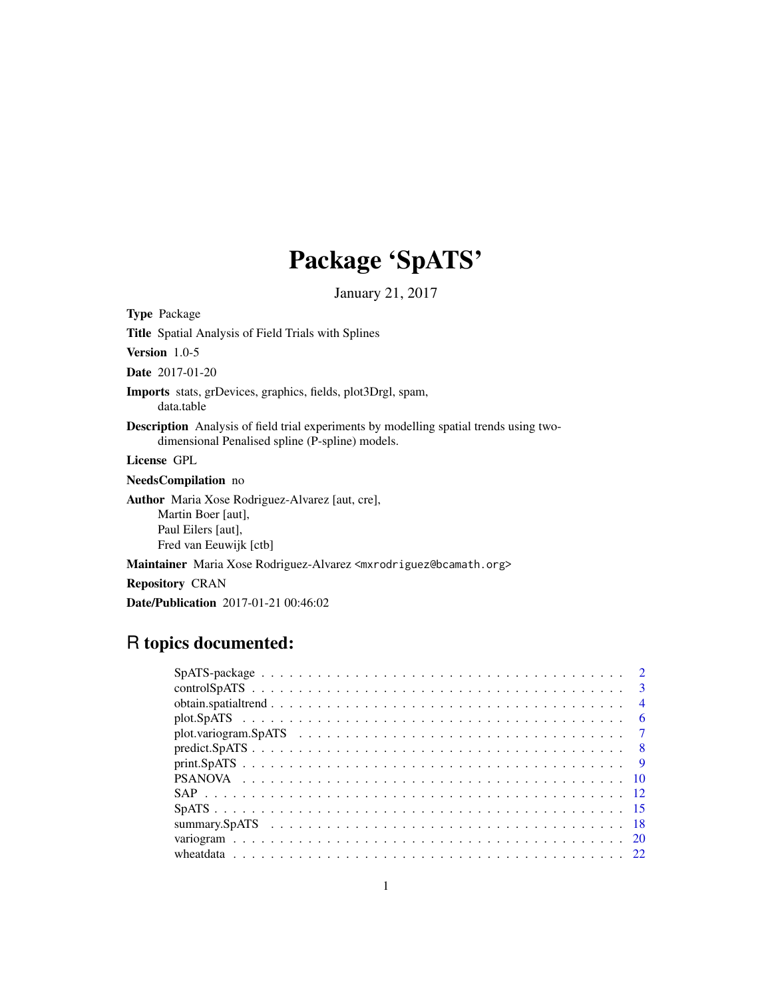# Package 'SpATS'

January 21, 2017

<span id="page-0-0"></span>Type Package Title Spatial Analysis of Field Trials with Splines Version 1.0-5 Date 2017-01-20 Imports stats, grDevices, graphics, fields, plot3Drgl, spam, data.table Description Analysis of field trial experiments by modelling spatial trends using twodimensional Penalised spline (P-spline) models. License GPL NeedsCompilation no Author Maria Xose Rodriguez-Alvarez [aut, cre], Martin Boer [aut], Paul Eilers [aut], Fred van Eeuwijk [ctb] Maintainer Maria Xose Rodriguez-Alvarez <mxrodriguez@bcamath.org> Repository CRAN Date/Publication 2017-01-21 00:46:02

# R topics documented: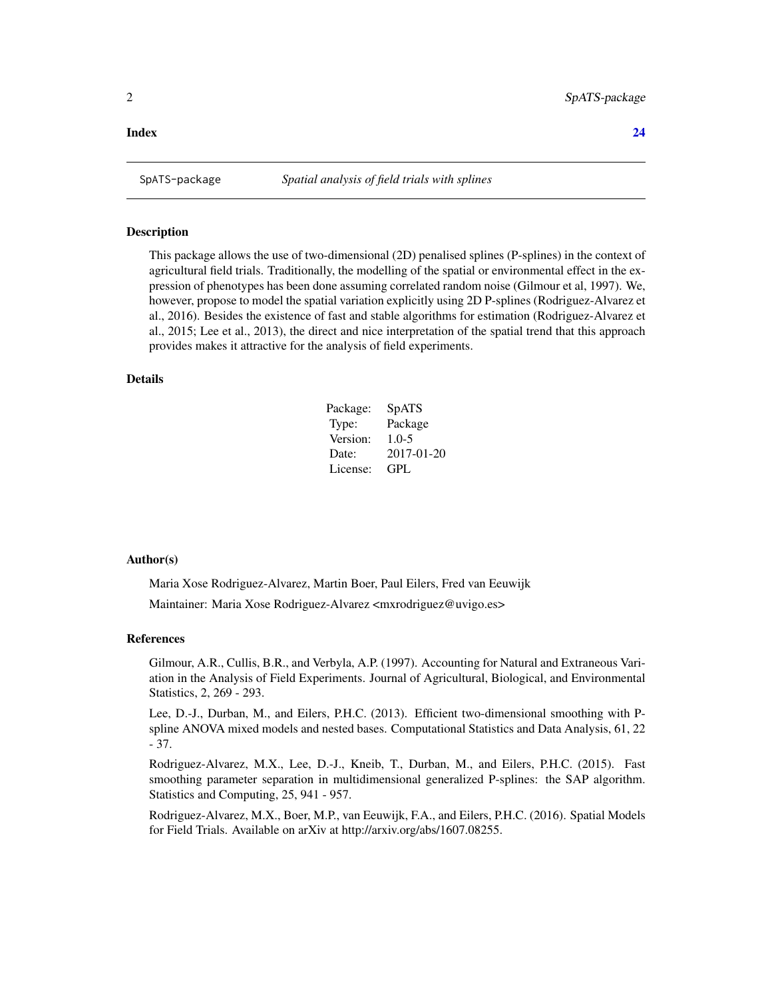#### <span id="page-1-0"></span>**Index** [24](#page-23-0)

<span id="page-1-1"></span>

#### Description

This package allows the use of two-dimensional (2D) penalised splines (P-splines) in the context of agricultural field trials. Traditionally, the modelling of the spatial or environmental effect in the expression of phenotypes has been done assuming correlated random noise (Gilmour et al, 1997). We, however, propose to model the spatial variation explicitly using 2D P-splines (Rodriguez-Alvarez et al., 2016). Besides the existence of fast and stable algorithms for estimation (Rodriguez-Alvarez et al., 2015; Lee et al., 2013), the direct and nice interpretation of the spatial trend that this approach provides makes it attractive for the analysis of field experiments.

#### Details

| Package: | SpATS      |
|----------|------------|
| Type:    | Package    |
| Version: | $1.0 - 5$  |
| Date:    | 2017-01-20 |
| License: | GPL.       |

#### Author(s)

Maria Xose Rodriguez-Alvarez, Martin Boer, Paul Eilers, Fred van Eeuwijk

Maintainer: Maria Xose Rodriguez-Alvarez <mxrodriguez@uvigo.es>

#### References

Gilmour, A.R., Cullis, B.R., and Verbyla, A.P. (1997). Accounting for Natural and Extraneous Variation in the Analysis of Field Experiments. Journal of Agricultural, Biological, and Environmental Statistics, 2, 269 - 293.

Lee, D.-J., Durban, M., and Eilers, P.H.C. (2013). Efficient two-dimensional smoothing with Pspline ANOVA mixed models and nested bases. Computational Statistics and Data Analysis, 61, 22 - 37.

Rodriguez-Alvarez, M.X., Lee, D.-J., Kneib, T., Durban, M., and Eilers, P.H.C. (2015). Fast smoothing parameter separation in multidimensional generalized P-splines: the SAP algorithm. Statistics and Computing, 25, 941 - 957.

Rodriguez-Alvarez, M.X., Boer, M.P., van Eeuwijk, F.A., and Eilers, P.H.C. (2016). Spatial Models for Field Trials. Available on arXiv at http://arxiv.org/abs/1607.08255.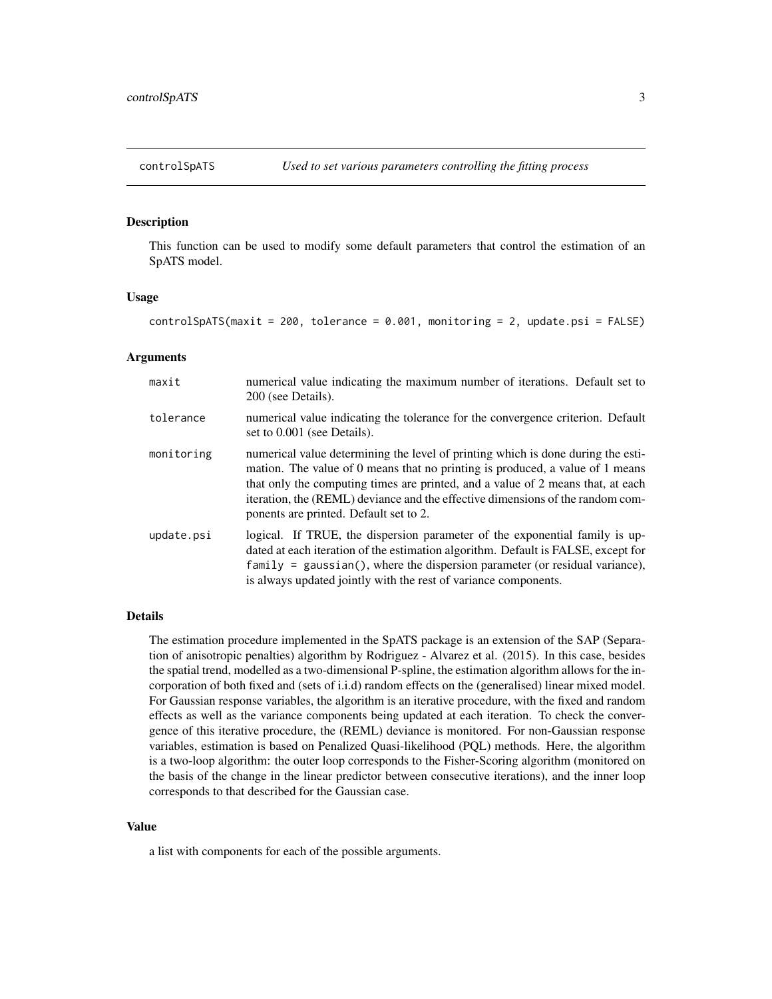<span id="page-2-1"></span><span id="page-2-0"></span>

#### Description

This function can be used to modify some default parameters that control the estimation of an SpATS model.

#### Usage

controlSpATS(maxit = 200, tolerance = 0.001, monitoring = 2, update.psi = FALSE)

#### Arguments

| maxit      | numerical value indicating the maximum number of iterations. Default set to<br>200 (see Details).                                                                                                                                                                                                                                                                                |
|------------|----------------------------------------------------------------------------------------------------------------------------------------------------------------------------------------------------------------------------------------------------------------------------------------------------------------------------------------------------------------------------------|
| tolerance  | numerical value indicating the tolerance for the convergence criterion. Default<br>set to 0.001 (see Details).                                                                                                                                                                                                                                                                   |
| monitoring | numerical value determining the level of printing which is done during the esti-<br>mation. The value of 0 means that no printing is produced, a value of 1 means<br>that only the computing times are printed, and a value of 2 means that, at each<br>iteration, the (REML) deviance and the effective dimensions of the random com-<br>ponents are printed. Default set to 2. |
| update.psi | logical. If TRUE, the dispersion parameter of the exponential family is up-<br>dated at each iteration of the estimation algorithm. Default is FALSE, except for<br>$family = gaussian()$ , where the dispersion parameter (or residual variance),<br>is always updated jointly with the rest of variance components.                                                            |

#### Details

The estimation procedure implemented in the SpATS package is an extension of the SAP (Separation of anisotropic penalties) algorithm by Rodriguez - Alvarez et al. (2015). In this case, besides the spatial trend, modelled as a two-dimensional P-spline, the estimation algorithm allows for the incorporation of both fixed and (sets of i.i.d) random effects on the (generalised) linear mixed model. For Gaussian response variables, the algorithm is an iterative procedure, with the fixed and random effects as well as the variance components being updated at each iteration. To check the convergence of this iterative procedure, the (REML) deviance is monitored. For non-Gaussian response variables, estimation is based on Penalized Quasi-likelihood (PQL) methods. Here, the algorithm is a two-loop algorithm: the outer loop corresponds to the Fisher-Scoring algorithm (monitored on the basis of the change in the linear predictor between consecutive iterations), and the inner loop corresponds to that described for the Gaussian case.

#### Value

a list with components for each of the possible arguments.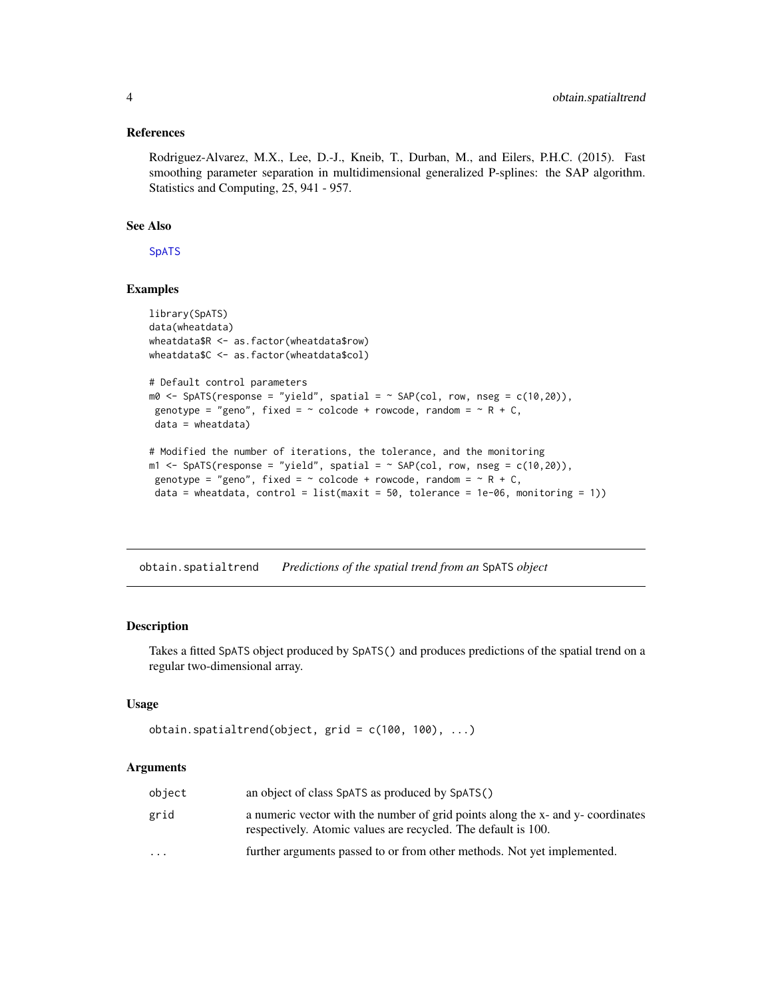#### <span id="page-3-0"></span>References

Rodriguez-Alvarez, M.X., Lee, D.-J., Kneib, T., Durban, M., and Eilers, P.H.C. (2015). Fast smoothing parameter separation in multidimensional generalized P-splines: the SAP algorithm. Statistics and Computing, 25, 941 - 957.

#### See Also

[SpATS](#page-14-1)

# Examples

```
library(SpATS)
data(wheatdata)
wheatdata$R <- as.factor(wheatdata$row)
wheatdata$C <- as.factor(wheatdata$col)
# Default control parameters
m0 \leq SpATS(response = "yield", spatial = \sim SAP(col, row, nseg = c(10,20)),
genotype = "geno", fixed = \sim colcode + rowcode, random = \sim R + C,
data = wheatdata)
# Modified the number of iterations, the tolerance, and the monitoring
m1 \leq SpATS(response = "yield", spatial = \sim SAP(col, row, nseg = c(10,20)),
genotype = "geno", fixed = \sim colcode + rowcode, random = \sim R + C,
 data = wheatdata, control = list(maxit = 50, tolerance = 1e-06, monitoring = 1))
```
<span id="page-3-1"></span>obtain.spatialtrend *Predictions of the spatial trend from an* SpATS *object*

#### Description

Takes a fitted SpATS object produced by SpATS() and produces predictions of the spatial trend on a regular two-dimensional array.

# Usage

```
obtain.spatialtrend(object, grid = c(100, 100), ...)
```
#### Arguments

| object                  | an object of class SpATS as produced by SpATS()                                                                                                  |
|-------------------------|--------------------------------------------------------------------------------------------------------------------------------------------------|
| grid                    | a numeric vector with the number of grid points along the x- and y- coordinates<br>respectively. Atomic values are recycled. The default is 100. |
| $\cdot$ $\cdot$ $\cdot$ | further arguments passed to or from other methods. Not yet implemented.                                                                          |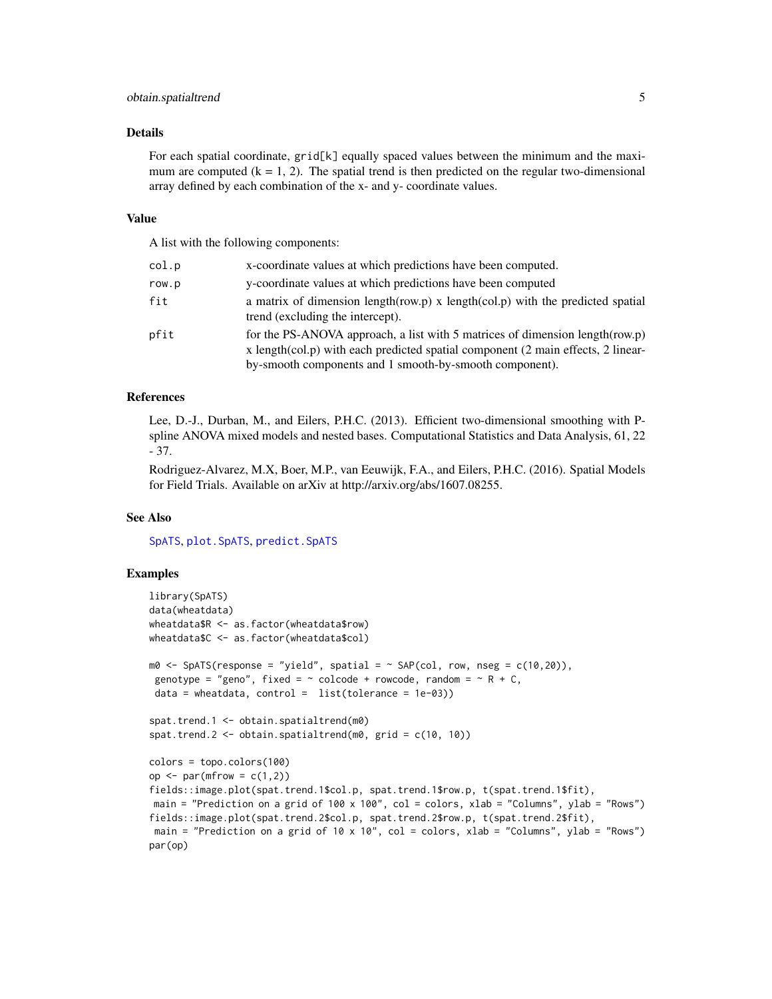# <span id="page-4-0"></span>obtain.spatialtrend 5

#### Details

For each spatial coordinate, grid[k] equally spaced values between the minimum and the maximum are computed  $(k = 1, 2)$ . The spatial trend is then predicted on the regular two-dimensional array defined by each combination of the x- and y- coordinate values.

#### Value

A list with the following components:

| col.p | x-coordinate values at which predictions have been computed.                                                                                                                                                                 |
|-------|------------------------------------------------------------------------------------------------------------------------------------------------------------------------------------------------------------------------------|
| row.p | y-coordinate values at which predictions have been computed                                                                                                                                                                  |
| fit   | a matrix of dimension length $(row, p)$ x length $(col, p)$ with the predicted spatial<br>trend (excluding the intercept).                                                                                                   |
| pfit  | for the PS-ANOVA approach, a list with 5 matrices of dimension length (row.p)<br>x length(col.p) with each predicted spatial component (2 main effects, 2 linear-<br>by-smooth components and 1 smooth-by-smooth component). |

#### References

Lee, D.-J., Durban, M., and Eilers, P.H.C. (2013). Efficient two-dimensional smoothing with Pspline ANOVA mixed models and nested bases. Computational Statistics and Data Analysis, 61, 22 - 37.

Rodriguez-Alvarez, M.X, Boer, M.P., van Eeuwijk, F.A., and Eilers, P.H.C. (2016). Spatial Models for Field Trials. Available on arXiv at http://arxiv.org/abs/1607.08255.

# See Also

[SpATS](#page-14-1), [plot.SpATS](#page-5-1), [predict.SpATS](#page-7-1)

#### Examples

```
library(SpATS)
data(wheatdata)
wheatdata$R <- as.factor(wheatdata$row)
wheatdata$C <- as.factor(wheatdata$col)
m0 \leq SpATS(response = "yield", spatial = \sim SAP(col, row, nseg = c(10,20)),
genotype = "geno", fixed = \sim colcode + rowcode, random = \sim R + C,
data = wheatdata, control = list(tolerance = 1e-03))
spat.trend.1 <- obtain.spatialtrend(m0)
spat.trend.2 <- obtain.spatialtrend(m0, grid = c(10, 10))
colors = topo.colors(100)
op \leq par(mfrow = c(1,2))
fields::image.plot(spat.trend.1$col.p, spat.trend.1$row.p, t(spat.trend.1$fit),
main = "Prediction on a grid of 100 \times 100", col = colors, xlab = "Columns", ylab = "Rows")
fields::image.plot(spat.trend.2$col.p, spat.trend.2$row.p, t(spat.trend.2$fit),
main = "Prediction on a grid of 10 \times 10", col = colors, xlab = "Columns", ylab = "Rows")
par(op)
```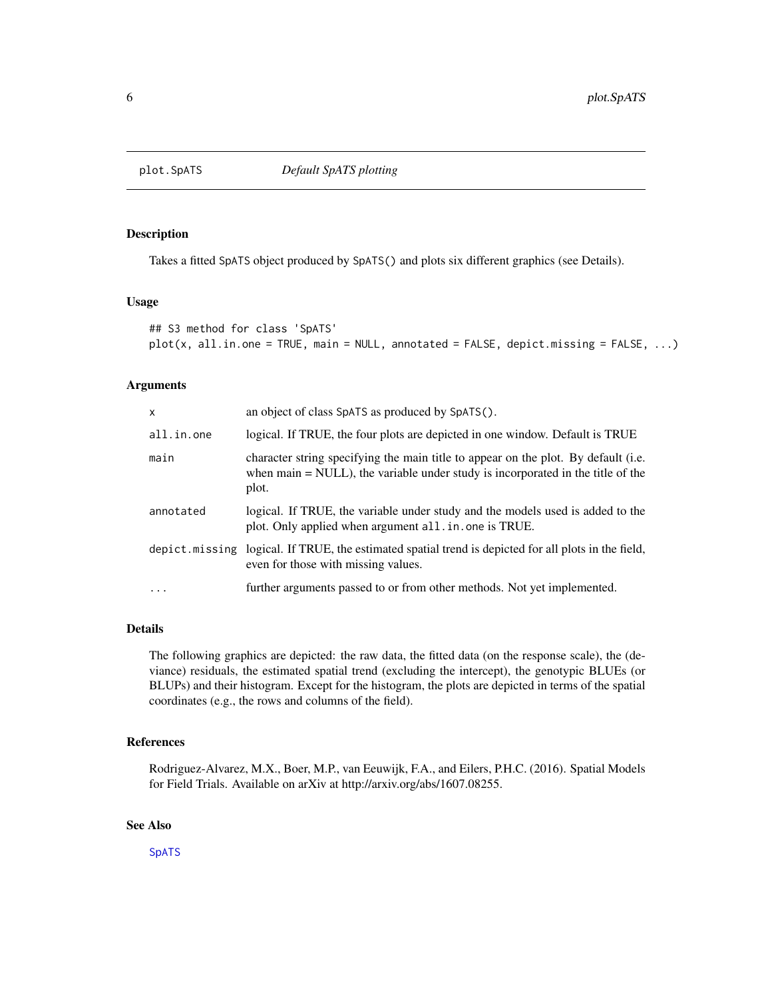<span id="page-5-1"></span><span id="page-5-0"></span>

#### Description

Takes a fitted SpATS object produced by SpATS() and plots six different graphics (see Details).

#### Usage

```
## S3 method for class 'SpATS'
plot(x, all.in.one = TRUE, main = NULL, annotated = FALSE, depict.missing = FALSE, ...)
```
# Arguments

| X          | an object of class SpATS as produced by SpATS().                                                                                                                                 |
|------------|----------------------------------------------------------------------------------------------------------------------------------------------------------------------------------|
| all.in.one | logical. If TRUE, the four plots are depicted in one window. Default is TRUE                                                                                                     |
| main       | character string specifying the main title to appear on the plot. By default (i.e.<br>when $main = NULL$ , the variable under study is incorporated in the title of the<br>plot. |
| annotated  | logical. If TRUE, the variable under study and the models used is added to the<br>plot. Only applied when argument all in one is TRUE.                                           |
|            | depict missing logical. If TRUE, the estimated spatial trend is depicted for all plots in the field,<br>even for those with missing values.                                      |
| $\ddots$ . | further arguments passed to or from other methods. Not yet implemented.                                                                                                          |

#### Details

The following graphics are depicted: the raw data, the fitted data (on the response scale), the (deviance) residuals, the estimated spatial trend (excluding the intercept), the genotypic BLUEs (or BLUPs) and their histogram. Except for the histogram, the plots are depicted in terms of the spatial coordinates (e.g., the rows and columns of the field).

# References

Rodriguez-Alvarez, M.X., Boer, M.P., van Eeuwijk, F.A., and Eilers, P.H.C. (2016). Spatial Models for Field Trials. Available on arXiv at http://arxiv.org/abs/1607.08255.

#### See Also

[SpATS](#page-14-1)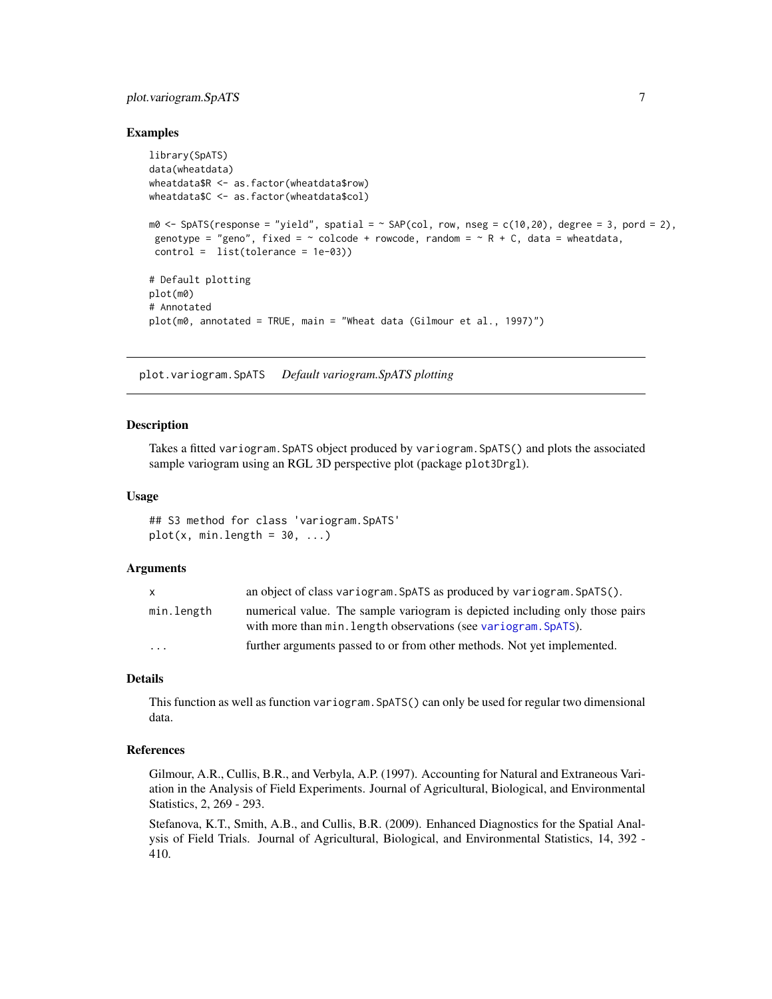# <span id="page-6-0"></span>plot.variogram.SpATS 7

#### Examples

```
library(SpATS)
data(wheatdata)
wheatdata$R <- as.factor(wheatdata$row)
wheatdata$C <- as.factor(wheatdata$col)
m0 \leq - SpATS(response = "yield", spatial = \sim SAP(col, row, nseg = c(10,20), degree = 3, pord = 2),
genotype = "geno", fixed = \sim colcode + rowcode, random = \sim R + C, data = wheatdata,
control = list(tolerance = 1e-03))
# Default plotting
plot(m0)
# Annotated
plot(m0, annotated = TRUE, main = "Wheat data (Gilmour et al., 1997)")
```
<span id="page-6-1"></span>plot.variogram.SpATS *Default variogram.SpATS plotting*

#### Description

Takes a fitted variogram.SpATS object produced by variogram.SpATS() and plots the associated sample variogram using an RGL 3D perspective plot (package plot3Drgl).

#### Usage

## S3 method for class 'variogram.SpATS'  $plot(x, min.length = 30, ...)$ 

#### Arguments

| $\mathsf{x}$ | an object of class variogram. SpATS as produced by variogram. SpATS().       |
|--------------|------------------------------------------------------------------------------|
| min.length   | numerical value. The sample variogram is depicted including only those pairs |
|              | with more than min. Length observations (see variogram. SpATS).              |
| $\cdots$     | further arguments passed to or from other methods. Not yet implemented.      |

# Details

This function as well as function variogram.SpATS() can only be used for regular two dimensional data.

# References

Gilmour, A.R., Cullis, B.R., and Verbyla, A.P. (1997). Accounting for Natural and Extraneous Variation in the Analysis of Field Experiments. Journal of Agricultural, Biological, and Environmental Statistics, 2, 269 - 293.

Stefanova, K.T., Smith, A.B., and Cullis, B.R. (2009). Enhanced Diagnostics for the Spatial Analysis of Field Trials. Journal of Agricultural, Biological, and Environmental Statistics, 14, 392 - 410.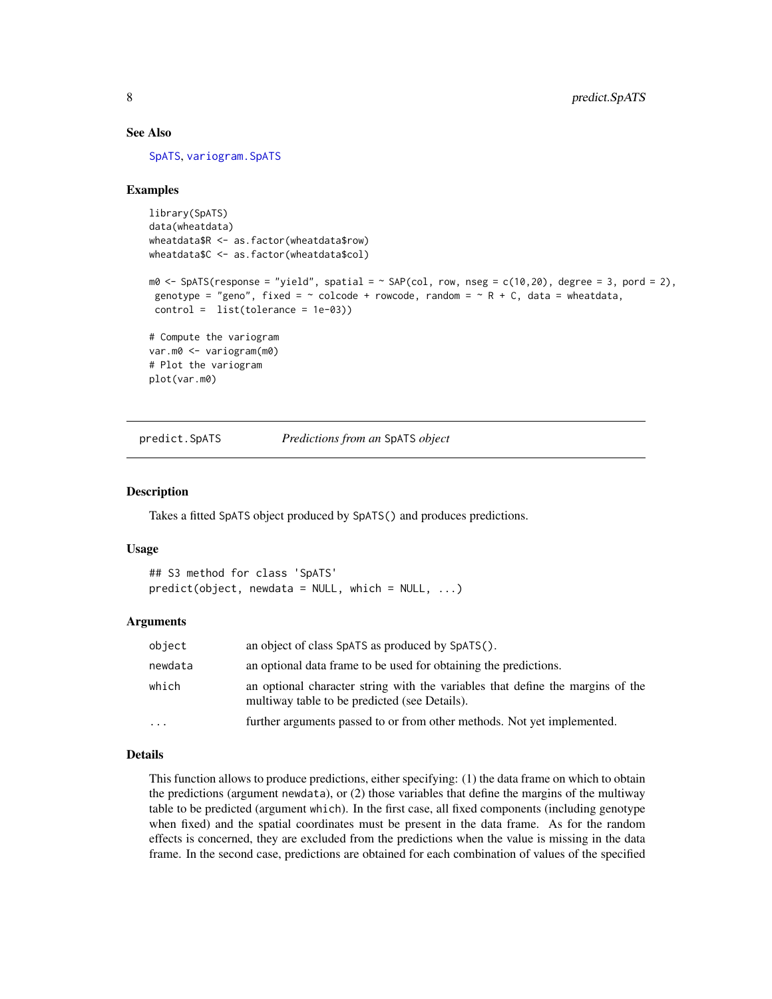# See Also

[SpATS](#page-14-1), [variogram.SpATS](#page-19-1)

#### Examples

```
library(SpATS)
data(wheatdata)
wheatdata$R <- as.factor(wheatdata$row)
wheatdata$C <- as.factor(wheatdata$col)
m\theta \leq SpATS(response = "yield", spatial = \in SAP(col, row, nseg = c(10,20), degree = 3, pord = 2),
genotype = "geno", fixed = \sim colcode + rowcode, random = \sim R + C, data = wheatdata,
control = list(tolerance = 1e-03))
# Compute the variogram
var.m0 <- variogram(m0)
# Plot the variogram
plot(var.m0)
```
<span id="page-7-1"></span>predict.SpATS *Predictions from an* SpATS *object*

#### Description

Takes a fitted SpATS object produced by SpATS() and produces predictions.

#### Usage

```
## S3 method for class 'SpATS'
predict(object, new data = NULL, which = NULL, ...)
```
#### Arguments

| object   | an object of class SpATS as produced by SpATS().                                                                                |
|----------|---------------------------------------------------------------------------------------------------------------------------------|
| newdata  | an optional data frame to be used for obtaining the predictions.                                                                |
| which    | an optional character string with the variables that define the margins of the<br>multiway table to be predicted (see Details). |
| $\cdots$ | further arguments passed to or from other methods. Not yet implemented.                                                         |

#### Details

This function allows to produce predictions, either specifying: (1) the data frame on which to obtain the predictions (argument newdata), or (2) those variables that define the margins of the multiway table to be predicted (argument which). In the first case, all fixed components (including genotype when fixed) and the spatial coordinates must be present in the data frame. As for the random effects is concerned, they are excluded from the predictions when the value is missing in the data frame. In the second case, predictions are obtained for each combination of values of the specified

<span id="page-7-0"></span>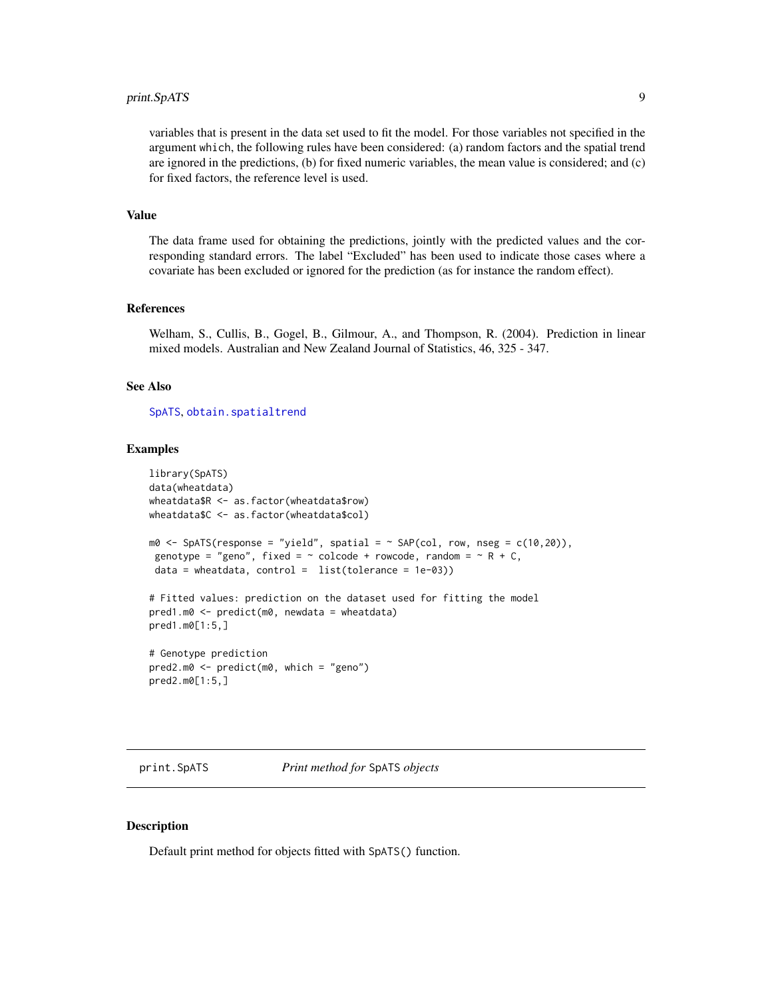# <span id="page-8-0"></span>print.SpATS 9

variables that is present in the data set used to fit the model. For those variables not specified in the argument which, the following rules have been considered: (a) random factors and the spatial trend are ignored in the predictions, (b) for fixed numeric variables, the mean value is considered; and (c) for fixed factors, the reference level is used.

# Value

The data frame used for obtaining the predictions, jointly with the predicted values and the corresponding standard errors. The label "Excluded" has been used to indicate those cases where a covariate has been excluded or ignored for the prediction (as for instance the random effect).

#### References

Welham, S., Cullis, B., Gogel, B., Gilmour, A., and Thompson, R. (2004). Prediction in linear mixed models. Australian and New Zealand Journal of Statistics, 46, 325 - 347.

#### See Also

[SpATS](#page-14-1), [obtain.spatialtrend](#page-3-1)

#### Examples

```
library(SpATS)
data(wheatdata)
wheatdata$R <- as.factor(wheatdata$row)
wheatdata$C <- as.factor(wheatdata$col)
m0 \leq SpATS(response = "yield", spatial = \sim SAP(col, row, nseg = c(10,20)),
genotype = "geno", fixed = \sim colcode + rowcode, random = \sim R + C,
data = wheatdata, control = list(tolerance = 1e-03))
# Fitted values: prediction on the dataset used for fitting the model
pred1.m0 <- predict(m0, newdata = wheatdata)
pred1.m0[1:5,]
# Genotype prediction
pred2.m0 <- predict(m0, which = "geno")
pred2.m0[1:5,]
```
print.SpATS *Print method for* SpATS *objects*

# Description

Default print method for objects fitted with SpATS() function.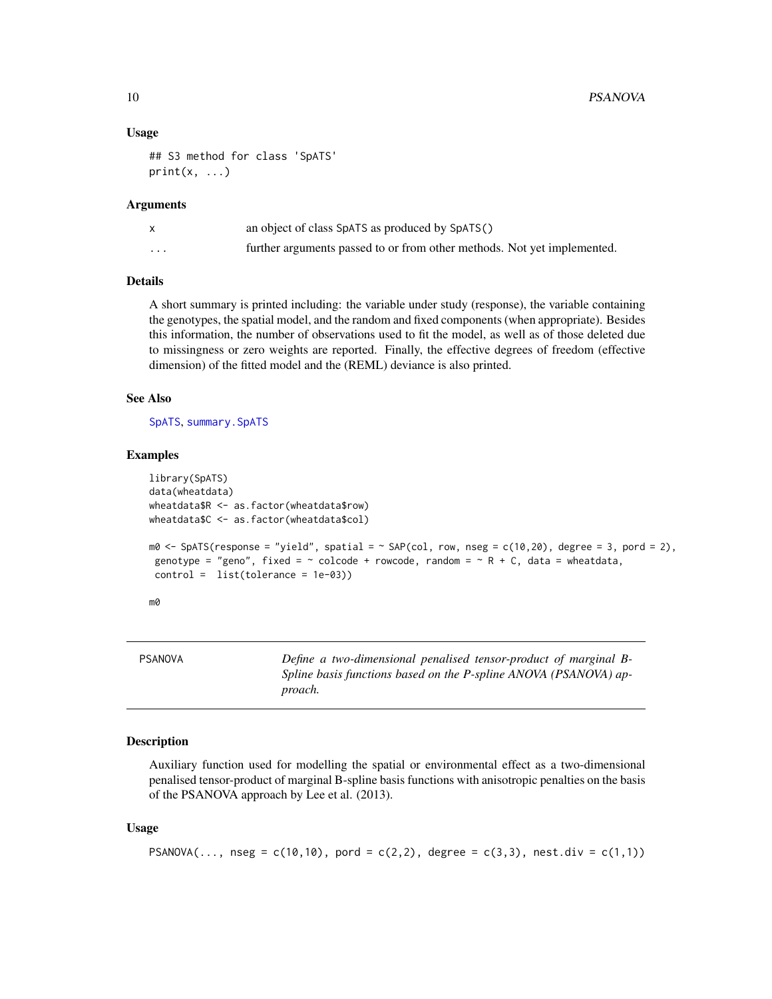#### Usage

```
## S3 method for class 'SpATS'
print(x, \ldots)
```
#### **Arguments**

|          | an object of class SpATS as produced by SpATS()                         |
|----------|-------------------------------------------------------------------------|
| $\cdots$ | further arguments passed to or from other methods. Not yet implemented. |

#### Details

A short summary is printed including: the variable under study (response), the variable containing the genotypes, the spatial model, and the random and fixed components (when appropriate). Besides this information, the number of observations used to fit the model, as well as of those deleted due to missingness or zero weights are reported. Finally, the effective degrees of freedom (effective dimension) of the fitted model and the (REML) deviance is also printed.

#### See Also

[SpATS](#page-14-1), [summary.SpATS](#page-17-1)

#### Examples

```
library(SpATS)
data(wheatdata)
wheatdata$R <- as.factor(wheatdata$row)
wheatdata$C <- as.factor(wheatdata$col)
m0 \leq - SpATS(response = "yield", spatial = \sim SAP(col, row, nseg = c(10,20), degree = 3, pord = 2),
genotype = "geno", fixed = \sim colcode + rowcode, random = \sim R + C, data = wheatdata,
control = list(tolerance = 1e-03))
m0
```
<span id="page-9-1"></span>PSANOVA *Define a two-dimensional penalised tensor-product of marginal B-Spline basis functions based on the P-spline ANOVA (PSANOVA) approach.*

#### Description

Auxiliary function used for modelling the spatial or environmental effect as a two-dimensional penalised tensor-product of marginal B-spline basis functions with anisotropic penalties on the basis of the PSANOVA approach by Lee et al. (2013).

#### Usage

```
PSANOVA(..., nseg = c(10,10), pord = c(2,2), degree = c(3,3), nest.div = c(1,1))
```
<span id="page-9-0"></span>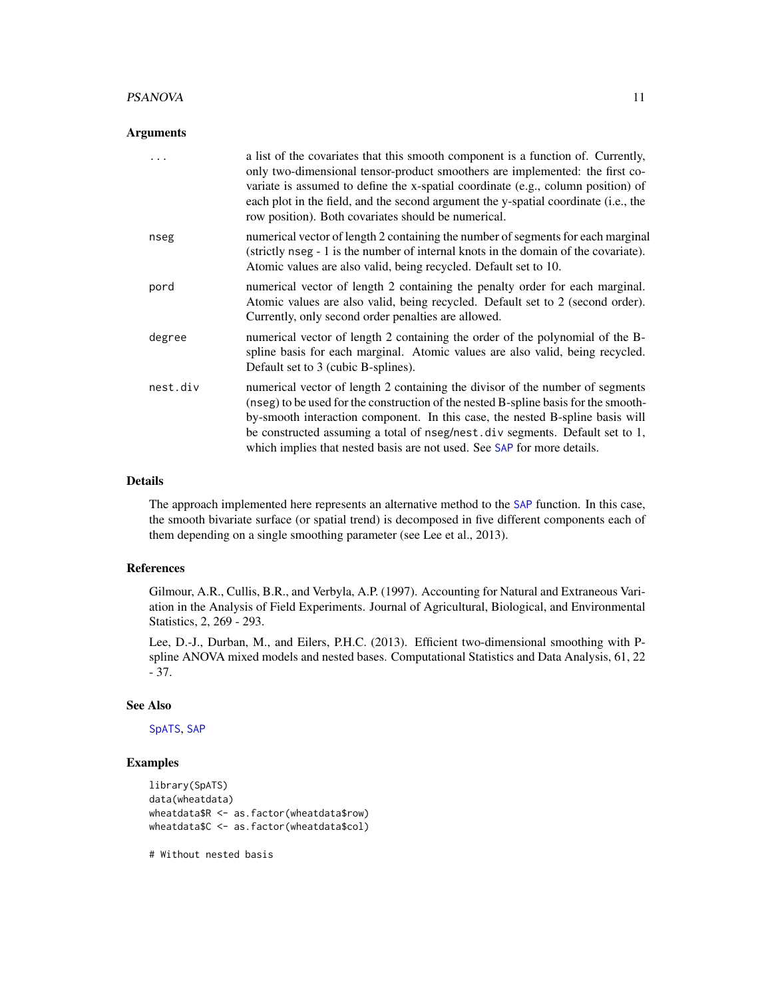#### <span id="page-10-0"></span>PSANOVA 11

#### Arguments

|          | a list of the covariates that this smooth component is a function of. Currently,<br>only two-dimensional tensor-product smoothers are implemented: the first co-<br>variate is assumed to define the x-spatial coordinate (e.g., column position) of<br>each plot in the field, and the second argument the y-spatial coordinate (i.e., the<br>row position). Both covariates should be numerical.               |
|----------|------------------------------------------------------------------------------------------------------------------------------------------------------------------------------------------------------------------------------------------------------------------------------------------------------------------------------------------------------------------------------------------------------------------|
| nseg     | numerical vector of length 2 containing the number of segments for each marginal<br>(strictly nseg - 1 is the number of internal knots in the domain of the covariate).<br>Atomic values are also valid, being recycled. Default set to 10.                                                                                                                                                                      |
| pord     | numerical vector of length 2 containing the penalty order for each marginal.<br>Atomic values are also valid, being recycled. Default set to 2 (second order).<br>Currently, only second order penalties are allowed.                                                                                                                                                                                            |
| degree   | numerical vector of length 2 containing the order of the polynomial of the B-<br>spline basis for each marginal. Atomic values are also valid, being recycled.<br>Default set to 3 (cubic B-splines).                                                                                                                                                                                                            |
| nest.div | numerical vector of length 2 containing the divisor of the number of segments<br>(nseg) to be used for the construction of the nested B-spline basis for the smooth-<br>by-smooth interaction component. In this case, the nested B-spline basis will<br>be constructed assuming a total of nseg/nest.div segments. Default set to 1,<br>which implies that nested basis are not used. See SAP for more details. |

# Details

The approach implemented here represents an alternative method to the [SAP](#page-11-1) function. In this case, the smooth bivariate surface (or spatial trend) is decomposed in five different components each of them depending on a single smoothing parameter (see Lee et al., 2013).

# References

Gilmour, A.R., Cullis, B.R., and Verbyla, A.P. (1997). Accounting for Natural and Extraneous Variation in the Analysis of Field Experiments. Journal of Agricultural, Biological, and Environmental Statistics, 2, 269 - 293.

Lee, D.-J., Durban, M., and Eilers, P.H.C. (2013). Efficient two-dimensional smoothing with Pspline ANOVA mixed models and nested bases. Computational Statistics and Data Analysis, 61, 22 - 37.

#### See Also

[SpATS](#page-14-1), [SAP](#page-11-1)

# Examples

```
library(SpATS)
data(wheatdata)
wheatdata$R <- as.factor(wheatdata$row)
wheatdata$C <- as.factor(wheatdata$col)
```
# Without nested basis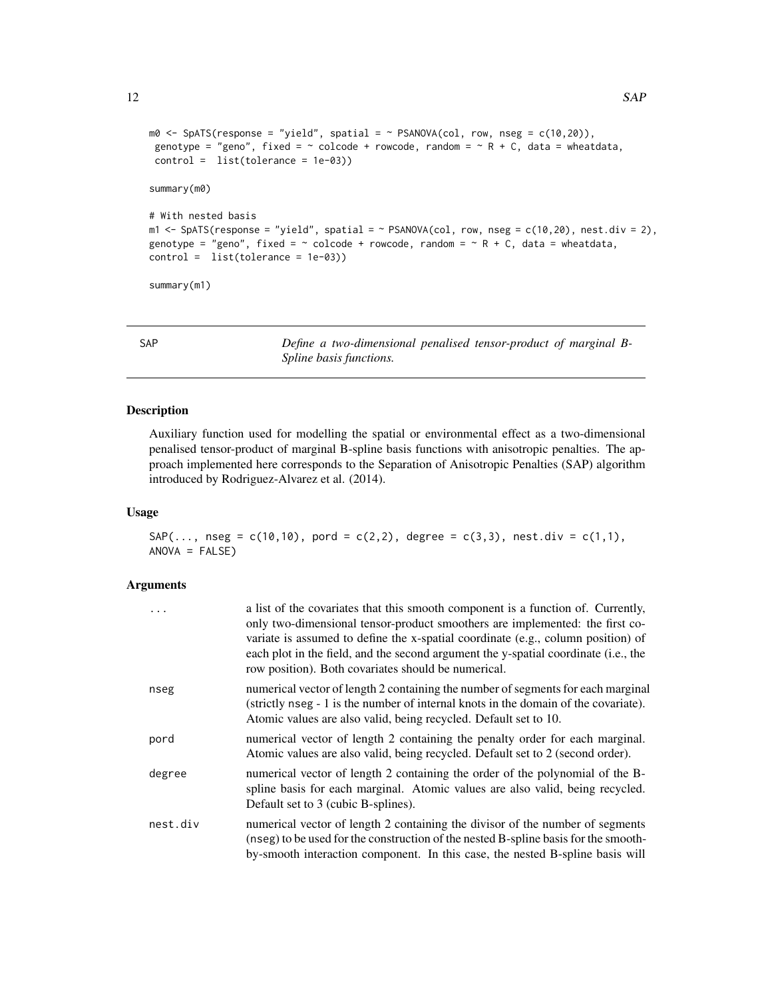```
m\theta \leq - SpATS(response = "yield", spatial = \sim PSANOVA(col, row, nseg = c(10,20)),
 genotype = "geno", fixed = \sim colcode + rowcode, random = \sim R + C, data = wheatdata,
 control = list(tolerance = 1e-03))
summary(m0)
# With nested basis
m1 <- SpATS(response = "yield", spatial = \sim PSANOVA(col, row, nseg = c(10,20), nest.div = 2),
genotype = "geno", fixed = \sim colcode + rowcode, random = \sim R + C, data = wheatdata,
control = list(tolerance = 1e-03))
summary(m1)
```
<span id="page-11-1"></span>SAP *Define a two-dimensional penalised tensor-product of marginal B-Spline basis functions.*

# Description

Auxiliary function used for modelling the spatial or environmental effect as a two-dimensional penalised tensor-product of marginal B-spline basis functions with anisotropic penalties. The approach implemented here corresponds to the Separation of Anisotropic Penalties (SAP) algorithm introduced by Rodriguez-Alvarez et al. (2014).

#### Usage

```
SAP(..., nseg = c(10, 10), pord = c(2, 2), degree = c(3, 3), nest.div = c(1, 1),ANOVA = FALSE)
```
#### **Arguments**

| $\ddots$ | a list of the covariates that this smooth component is a function of. Currently,<br>only two-dimensional tensor-product smoothers are implemented: the first co-<br>variate is assumed to define the x-spatial coordinate (e.g., column position) of<br>each plot in the field, and the second argument the y-spatial coordinate (i.e., the<br>row position). Both covariates should be numerical. |
|----------|----------------------------------------------------------------------------------------------------------------------------------------------------------------------------------------------------------------------------------------------------------------------------------------------------------------------------------------------------------------------------------------------------|
| nseg     | numerical vector of length 2 containing the number of segments for each marginal<br>(strictly nseg - 1 is the number of internal knots in the domain of the covariate).<br>Atomic values are also valid, being recycled. Default set to 10.                                                                                                                                                        |
| pord     | numerical vector of length 2 containing the penalty order for each marginal.<br>Atomic values are also valid, being recycled. Default set to 2 (second order).                                                                                                                                                                                                                                     |
| degree   | numerical vector of length 2 containing the order of the polynomial of the B-<br>spline basis for each marginal. Atomic values are also valid, being recycled.<br>Default set to 3 (cubic B-splines).                                                                                                                                                                                              |
| nest.div | numerical vector of length 2 containing the divisor of the number of segments<br>(nseg) to be used for the construction of the nested B-spline basis for the smooth-<br>by-smooth interaction component. In this case, the nested B-spline basis will                                                                                                                                              |

<span id="page-11-0"></span>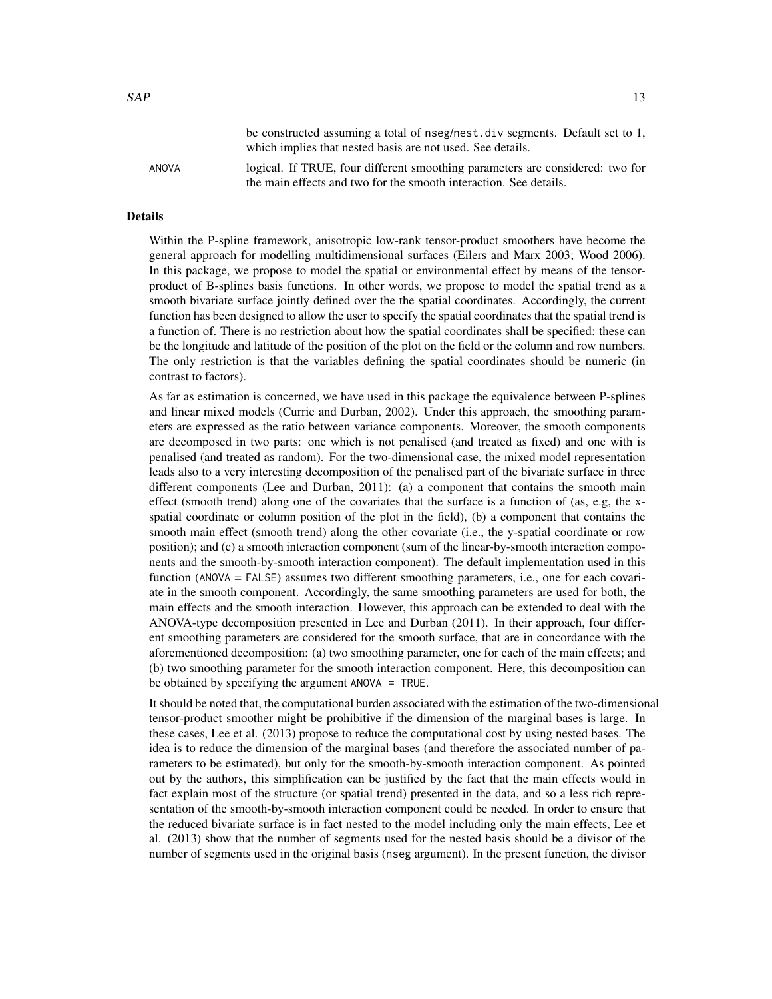|       | be constructed assuming a total of nsegmest. Giv segments. Default set to 1,<br>which implies that nested basis are not used. See details. |
|-------|--------------------------------------------------------------------------------------------------------------------------------------------|
| ANOVA | logical. If TRUE, four different smoothing parameters are considered: two for                                                              |
|       | the main effects and two for the smooth interaction. See details.                                                                          |

be constructed assuming a total of nseg/nest.div segments. Default set to 1,

#### Details

Within the P-spline framework, anisotropic low-rank tensor-product smoothers have become the general approach for modelling multidimensional surfaces (Eilers and Marx 2003; Wood 2006). In this package, we propose to model the spatial or environmental effect by means of the tensorproduct of B-splines basis functions. In other words, we propose to model the spatial trend as a smooth bivariate surface jointly defined over the the spatial coordinates. Accordingly, the current function has been designed to allow the user to specify the spatial coordinates that the spatial trend is a function of. There is no restriction about how the spatial coordinates shall be specified: these can be the longitude and latitude of the position of the plot on the field or the column and row numbers. The only restriction is that the variables defining the spatial coordinates should be numeric (in contrast to factors).

As far as estimation is concerned, we have used in this package the equivalence between P-splines and linear mixed models (Currie and Durban, 2002). Under this approach, the smoothing parameters are expressed as the ratio between variance components. Moreover, the smooth components are decomposed in two parts: one which is not penalised (and treated as fixed) and one with is penalised (and treated as random). For the two-dimensional case, the mixed model representation leads also to a very interesting decomposition of the penalised part of the bivariate surface in three different components (Lee and Durban, 2011): (a) a component that contains the smooth main effect (smooth trend) along one of the covariates that the surface is a function of (as, e.g, the xspatial coordinate or column position of the plot in the field), (b) a component that contains the smooth main effect (smooth trend) along the other covariate (i.e., the y-spatial coordinate or row position); and (c) a smooth interaction component (sum of the linear-by-smooth interaction components and the smooth-by-smooth interaction component). The default implementation used in this function (ANOVA = FALSE) assumes two different smoothing parameters, i.e., one for each covariate in the smooth component. Accordingly, the same smoothing parameters are used for both, the main effects and the smooth interaction. However, this approach can be extended to deal with the ANOVA-type decomposition presented in Lee and Durban (2011). In their approach, four different smoothing parameters are considered for the smooth surface, that are in concordance with the aforementioned decomposition: (a) two smoothing parameter, one for each of the main effects; and (b) two smoothing parameter for the smooth interaction component. Here, this decomposition can be obtained by specifying the argument ANOVA = TRUE.

It should be noted that, the computational burden associated with the estimation of the two-dimensional tensor-product smoother might be prohibitive if the dimension of the marginal bases is large. In these cases, Lee et al. (2013) propose to reduce the computational cost by using nested bases. The idea is to reduce the dimension of the marginal bases (and therefore the associated number of parameters to be estimated), but only for the smooth-by-smooth interaction component. As pointed out by the authors, this simplification can be justified by the fact that the main effects would in fact explain most of the structure (or spatial trend) presented in the data, and so a less rich representation of the smooth-by-smooth interaction component could be needed. In order to ensure that the reduced bivariate surface is in fact nested to the model including only the main effects, Lee et al. (2013) show that the number of segments used for the nested basis should be a divisor of the number of segments used in the original basis (nseg argument). In the present function, the divisor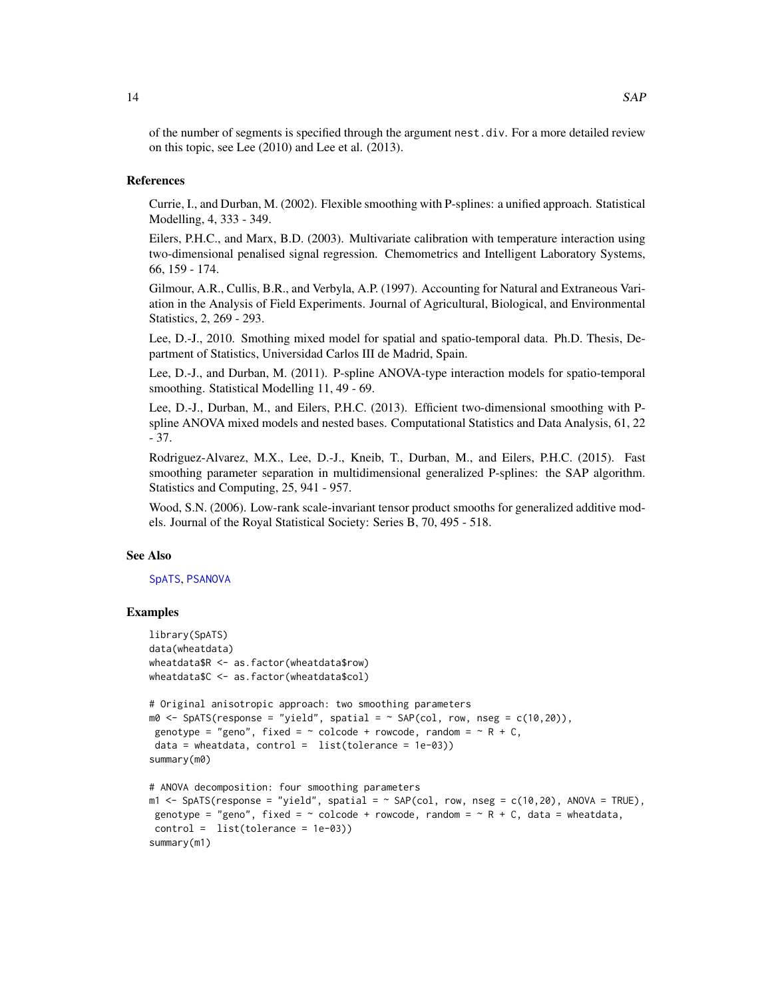<span id="page-13-0"></span>of the number of segments is specified through the argument nest.div. For a more detailed review on this topic, see Lee (2010) and Lee et al. (2013).

#### References

Currie, I., and Durban, M. (2002). Flexible smoothing with P-splines: a unified approach. Statistical Modelling, 4, 333 - 349.

Eilers, P.H.C., and Marx, B.D. (2003). Multivariate calibration with temperature interaction using two-dimensional penalised signal regression. Chemometrics and Intelligent Laboratory Systems, 66, 159 - 174.

Gilmour, A.R., Cullis, B.R., and Verbyla, A.P. (1997). Accounting for Natural and Extraneous Variation in the Analysis of Field Experiments. Journal of Agricultural, Biological, and Environmental Statistics, 2, 269 - 293.

Lee, D.-J., 2010. Smothing mixed model for spatial and spatio-temporal data. Ph.D. Thesis, Department of Statistics, Universidad Carlos III de Madrid, Spain.

Lee, D.-J., and Durban, M. (2011). P-spline ANOVA-type interaction models for spatio-temporal smoothing. Statistical Modelling 11, 49 - 69.

Lee, D.-J., Durban, M., and Eilers, P.H.C. (2013). Efficient two-dimensional smoothing with Pspline ANOVA mixed models and nested bases. Computational Statistics and Data Analysis, 61, 22 - 37.

Rodriguez-Alvarez, M.X., Lee, D.-J., Kneib, T., Durban, M., and Eilers, P.H.C. (2015). Fast smoothing parameter separation in multidimensional generalized P-splines: the SAP algorithm. Statistics and Computing, 25, 941 - 957.

Wood, S.N. (2006). Low-rank scale-invariant tensor product smooths for generalized additive models. Journal of the Royal Statistical Society: Series B, 70, 495 - 518.

#### See Also

#### [SpATS](#page-14-1), [PSANOVA](#page-9-1)

#### Examples

```
library(SpATS)
data(wheatdata)
wheatdata$R <- as.factor(wheatdata$row)
wheatdata$C <- as.factor(wheatdata$col)
# Original anisotropic approach: two smoothing parameters
m0 \leq SpATS(response = "yield", spatial = \sim SAP(col, row, nseg = c(10,20)),
genotype = "geno", fixed = \sim colcode + rowcode, random = \sim R + C,
data = wheatdata, control = list(tolerance = 1e-03))summary(m0)
# ANOVA decomposition: four smoothing parameters
m1 \leq - SpATS(response = "yield", spatial = \sim SAP(col, row, nseg = c(10,20), ANOVA = TRUE),
genotype = "geno", fixed = \sim colcode + rowcode, random = \sim R + C, data = wheatdata,
control = list(tolerance = 1e-03))
summary(m1)
```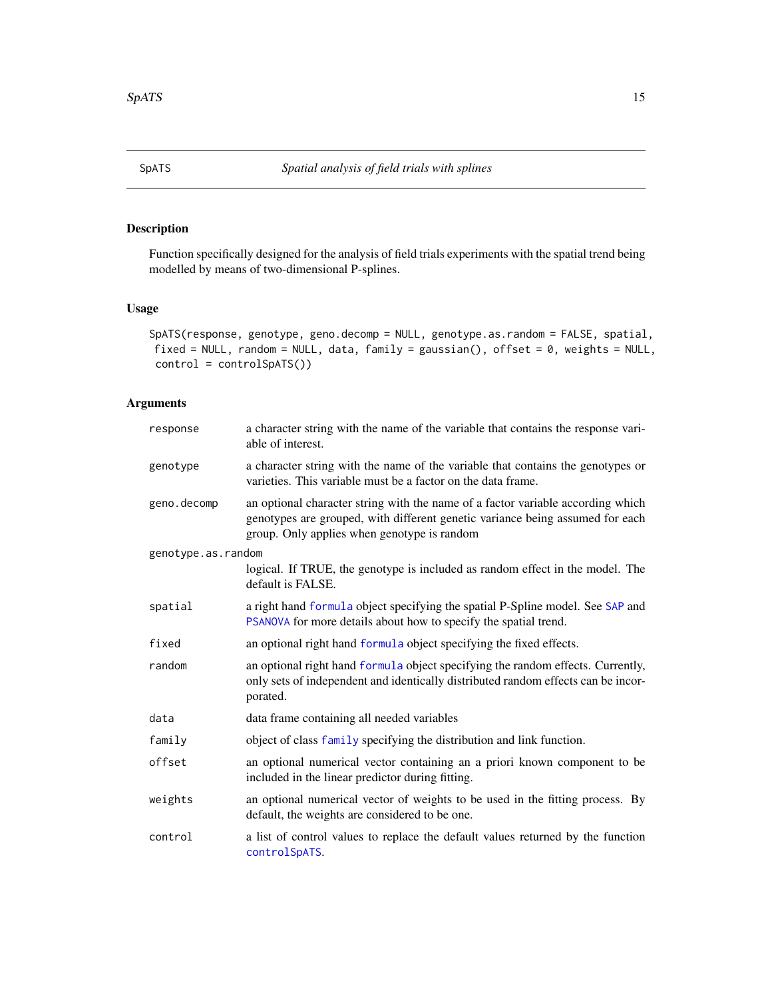<span id="page-14-1"></span><span id="page-14-0"></span>

# Description

Function specifically designed for the analysis of field trials experiments with the spatial trend being modelled by means of two-dimensional P-splines.

# Usage

```
SpATS(response, genotype, geno.decomp = NULL, genotype.as.random = FALSE, spatial,
fixed = NULL, random = NULL, data, family = gaussian(), offset = 0, weights = NULL,
control = controlSpATS())
```
# Arguments

| response           | a character string with the name of the variable that contains the response vari-<br>able of interest.                                                                                                          |
|--------------------|-----------------------------------------------------------------------------------------------------------------------------------------------------------------------------------------------------------------|
| genotype           | a character string with the name of the variable that contains the genotypes or<br>varieties. This variable must be a factor on the data frame.                                                                 |
| geno.decomp        | an optional character string with the name of a factor variable according which<br>genotypes are grouped, with different genetic variance being assumed for each<br>group. Only applies when genotype is random |
| genotype.as.random |                                                                                                                                                                                                                 |
|                    | logical. If TRUE, the genotype is included as random effect in the model. The<br>default is FALSE.                                                                                                              |
| spatial            | a right hand formula object specifying the spatial P-Spline model. See SAP and<br>PSANOVA for more details about how to specify the spatial trend.                                                              |
| fixed              | an optional right hand formula object specifying the fixed effects.                                                                                                                                             |
| random             | an optional right hand formula object specifying the random effects. Currently,<br>only sets of independent and identically distributed random effects can be incor-<br>porated.                                |
| data               | data frame containing all needed variables                                                                                                                                                                      |
| family             | object of class family specifying the distribution and link function.                                                                                                                                           |
| offset             | an optional numerical vector containing an a priori known component to be<br>included in the linear predictor during fitting.                                                                                   |
| weights            | an optional numerical vector of weights to be used in the fitting process. By<br>default, the weights are considered to be one.                                                                                 |
| control            | a list of control values to replace the default values returned by the function<br>controlSpATS.                                                                                                                |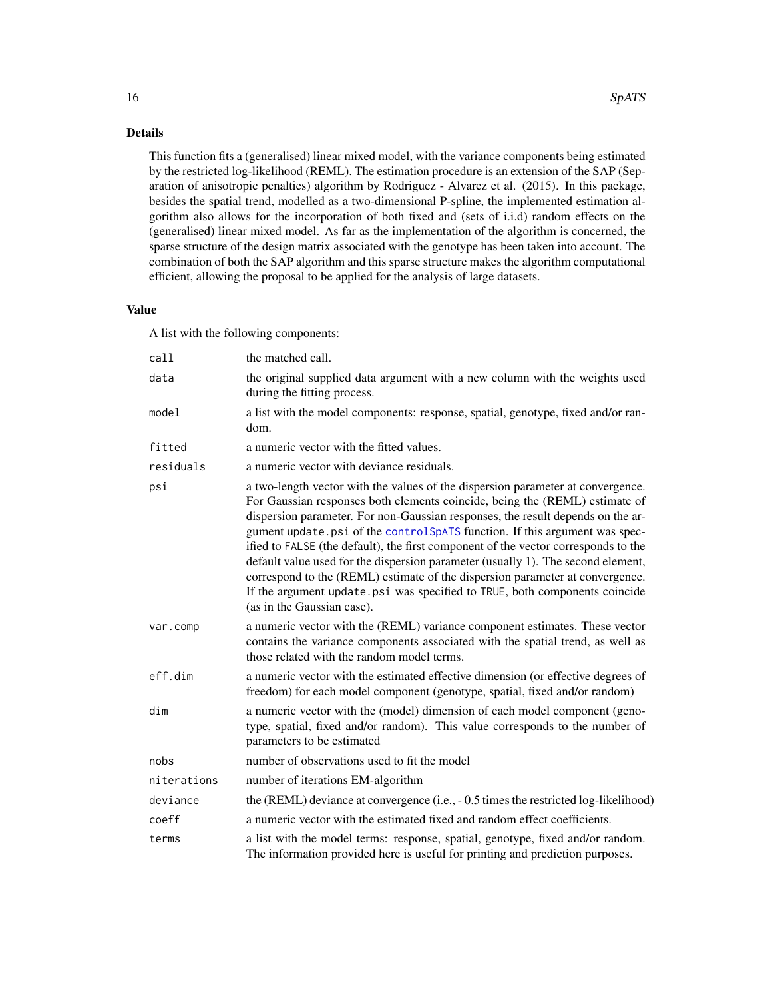# Details

This function fits a (generalised) linear mixed model, with the variance components being estimated by the restricted log-likelihood (REML). The estimation procedure is an extension of the SAP (Separation of anisotropic penalties) algorithm by Rodriguez - Alvarez et al. (2015). In this package, besides the spatial trend, modelled as a two-dimensional P-spline, the implemented estimation algorithm also allows for the incorporation of both fixed and (sets of i.i.d) random effects on the (generalised) linear mixed model. As far as the implementation of the algorithm is concerned, the sparse structure of the design matrix associated with the genotype has been taken into account. The combination of both the SAP algorithm and this sparse structure makes the algorithm computational efficient, allowing the proposal to be applied for the analysis of large datasets.

#### Value

A list with the following components:

| call        | the matched call.                                                                                                                                                                                                                                                                                                                                                                                                                                                                                                                                                                                                                                                                                      |
|-------------|--------------------------------------------------------------------------------------------------------------------------------------------------------------------------------------------------------------------------------------------------------------------------------------------------------------------------------------------------------------------------------------------------------------------------------------------------------------------------------------------------------------------------------------------------------------------------------------------------------------------------------------------------------------------------------------------------------|
| data        | the original supplied data argument with a new column with the weights used<br>during the fitting process.                                                                                                                                                                                                                                                                                                                                                                                                                                                                                                                                                                                             |
| model       | a list with the model components: response, spatial, genotype, fixed and/or ran-<br>dom.                                                                                                                                                                                                                                                                                                                                                                                                                                                                                                                                                                                                               |
| fitted      | a numeric vector with the fitted values.                                                                                                                                                                                                                                                                                                                                                                                                                                                                                                                                                                                                                                                               |
| residuals   | a numeric vector with deviance residuals.                                                                                                                                                                                                                                                                                                                                                                                                                                                                                                                                                                                                                                                              |
| psi         | a two-length vector with the values of the dispersion parameter at convergence.<br>For Gaussian responses both elements coincide, being the (REML) estimate of<br>dispersion parameter. For non-Gaussian responses, the result depends on the ar-<br>gument update.psi of the controlSpATS function. If this argument was spec-<br>ified to FALSE (the default), the first component of the vector corresponds to the<br>default value used for the dispersion parameter (usually 1). The second element,<br>correspond to the (REML) estimate of the dispersion parameter at convergence.<br>If the argument update.psi was specified to TRUE, both components coincide<br>(as in the Gaussian case). |
| var.comp    | a numeric vector with the (REML) variance component estimates. These vector<br>contains the variance components associated with the spatial trend, as well as<br>those related with the random model terms.                                                                                                                                                                                                                                                                                                                                                                                                                                                                                            |
| eff.dim     | a numeric vector with the estimated effective dimension (or effective degrees of<br>freedom) for each model component (genotype, spatial, fixed and/or random)                                                                                                                                                                                                                                                                                                                                                                                                                                                                                                                                         |
| dim         | a numeric vector with the (model) dimension of each model component (geno-<br>type, spatial, fixed and/or random). This value corresponds to the number of<br>parameters to be estimated                                                                                                                                                                                                                                                                                                                                                                                                                                                                                                               |
| nobs        | number of observations used to fit the model                                                                                                                                                                                                                                                                                                                                                                                                                                                                                                                                                                                                                                                           |
| niterations | number of iterations EM-algorithm                                                                                                                                                                                                                                                                                                                                                                                                                                                                                                                                                                                                                                                                      |
| deviance    | the (REML) deviance at convergence (i.e., - 0.5 times the restricted log-likelihood)                                                                                                                                                                                                                                                                                                                                                                                                                                                                                                                                                                                                                   |
| coeff       | a numeric vector with the estimated fixed and random effect coefficients.                                                                                                                                                                                                                                                                                                                                                                                                                                                                                                                                                                                                                              |
| terms       | a list with the model terms: response, spatial, genotype, fixed and/or random.<br>The information provided here is useful for printing and prediction purposes.                                                                                                                                                                                                                                                                                                                                                                                                                                                                                                                                        |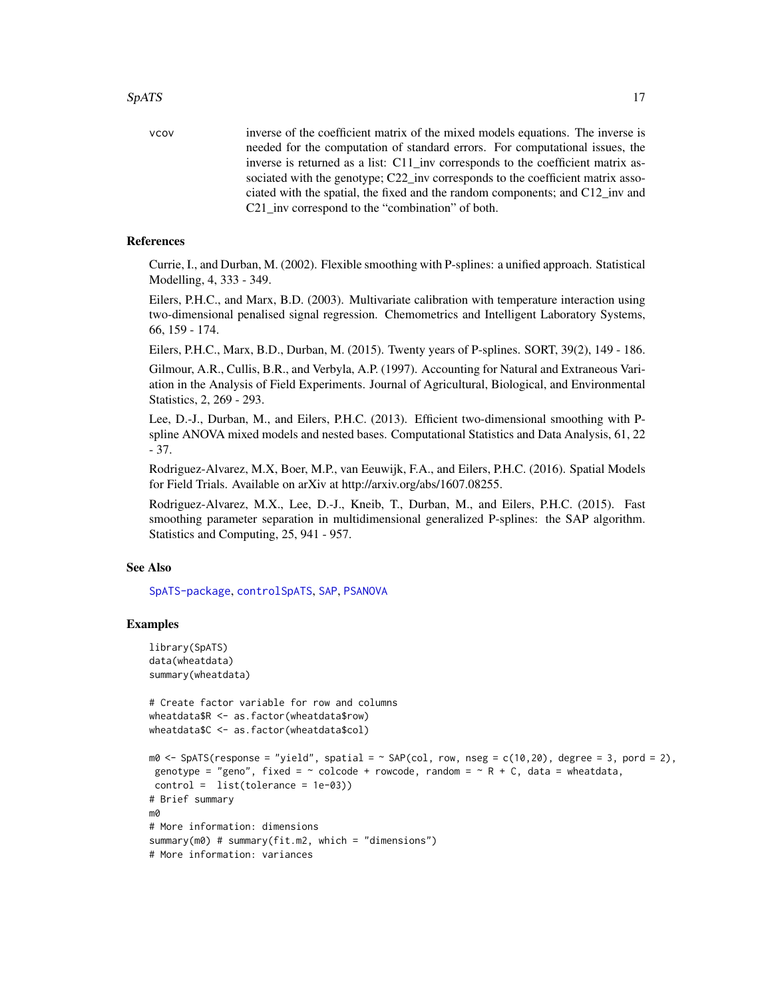<span id="page-16-0"></span>vcov inverse of the coefficient matrix of the mixed models equations. The inverse is needed for the computation of standard errors. For computational issues, the inverse is returned as a list: C11 inv corresponds to the coefficient matrix associated with the genotype; C22\_inv corresponds to the coefficient matrix associated with the spatial, the fixed and the random components; and C12\_inv and C21\_inv correspond to the "combination" of both.

# References

Currie, I., and Durban, M. (2002). Flexible smoothing with P-splines: a unified approach. Statistical Modelling, 4, 333 - 349.

Eilers, P.H.C., and Marx, B.D. (2003). Multivariate calibration with temperature interaction using two-dimensional penalised signal regression. Chemometrics and Intelligent Laboratory Systems, 66, 159 - 174.

Eilers, P.H.C., Marx, B.D., Durban, M. (2015). Twenty years of P-splines. SORT, 39(2), 149 - 186.

Gilmour, A.R., Cullis, B.R., and Verbyla, A.P. (1997). Accounting for Natural and Extraneous Variation in the Analysis of Field Experiments. Journal of Agricultural, Biological, and Environmental Statistics, 2, 269 - 293.

Lee, D.-J., Durban, M., and Eilers, P.H.C. (2013). Efficient two-dimensional smoothing with Pspline ANOVA mixed models and nested bases. Computational Statistics and Data Analysis, 61, 22 - 37.

Rodriguez-Alvarez, M.X, Boer, M.P., van Eeuwijk, F.A., and Eilers, P.H.C. (2016). Spatial Models for Field Trials. Available on arXiv at http://arxiv.org/abs/1607.08255.

Rodriguez-Alvarez, M.X., Lee, D.-J., Kneib, T., Durban, M., and Eilers, P.H.C. (2015). Fast smoothing parameter separation in multidimensional generalized P-splines: the SAP algorithm. Statistics and Computing, 25, 941 - 957.

#### See Also

[SpATS-package](#page-1-1), [controlSpATS](#page-2-1), [SAP](#page-11-1), [PSANOVA](#page-9-1)

#### Examples

```
library(SpATS)
data(wheatdata)
summary(wheatdata)
# Create factor variable for row and columns
wheatdata$R <- as.factor(wheatdata$row)
wheatdata$C <- as.factor(wheatdata$col)
m0 \leq - SpATS(response = "yield", spatial = \sim SAP(col, row, nseg = c(10,20), degree = 3, pord = 2),
 genotype = "geno", fixed = \sim colcode + rowcode, random = \sim R + C, data = wheatdata,
control = list(tolerance = 1e-03))
# Brief summary
m0
# More information: dimensions
summary(m0) # summary(fit.m2, which = "dimensions")
# More information: variances
```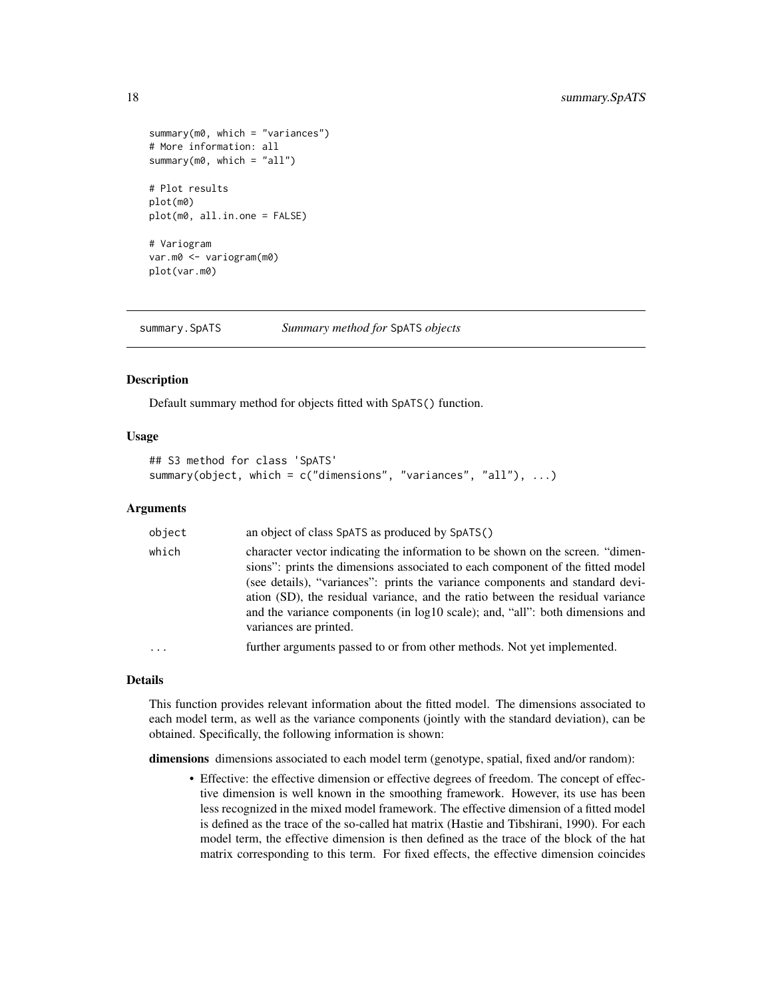```
summary(m0, which = "variances")
# More information: all
summary(m0, which = "all")
# Plot results
plot(m0)
plot(m0, all.in.one = FALSE)
# Variogram
var.m0 <- variogram(m0)
```
plot(var.m0)

<span id="page-17-1"></span>summary.SpATS *Summary method for* SpATS *objects*

#### Description

Default summary method for objects fitted with SpATS() function.

# Usage

```
## S3 method for class 'SpATS'
summary(object, which = c("dimensions", "variances", "all"), ...)
```
#### Arguments

| object   | an object of class SpATS as produced by SpATS()                                                                                                                                                                                                                                                                                                                                                                                                |
|----------|------------------------------------------------------------------------------------------------------------------------------------------------------------------------------------------------------------------------------------------------------------------------------------------------------------------------------------------------------------------------------------------------------------------------------------------------|
| which    | character vector indicating the information to be shown on the screen. "dimen-<br>sions": prints the dimensions associated to each component of the fitted model<br>(see details), "variances": prints the variance components and standard devi-<br>ation (SD), the residual variance, and the ratio between the residual variance<br>and the variance components (in log10 scale); and, "all": both dimensions and<br>variances are printed. |
| $\cdots$ | further arguments passed to or from other methods. Not yet implemented.                                                                                                                                                                                                                                                                                                                                                                        |

# Details

This function provides relevant information about the fitted model. The dimensions associated to each model term, as well as the variance components (jointly with the standard deviation), can be obtained. Specifically, the following information is shown:

dimensions dimensions associated to each model term (genotype, spatial, fixed and/or random):

• Effective: the effective dimension or effective degrees of freedom. The concept of effective dimension is well known in the smoothing framework. However, its use has been less recognized in the mixed model framework. The effective dimension of a fitted model is defined as the trace of the so-called hat matrix (Hastie and Tibshirani, 1990). For each model term, the effective dimension is then defined as the trace of the block of the hat matrix corresponding to this term. For fixed effects, the effective dimension coincides

<span id="page-17-0"></span>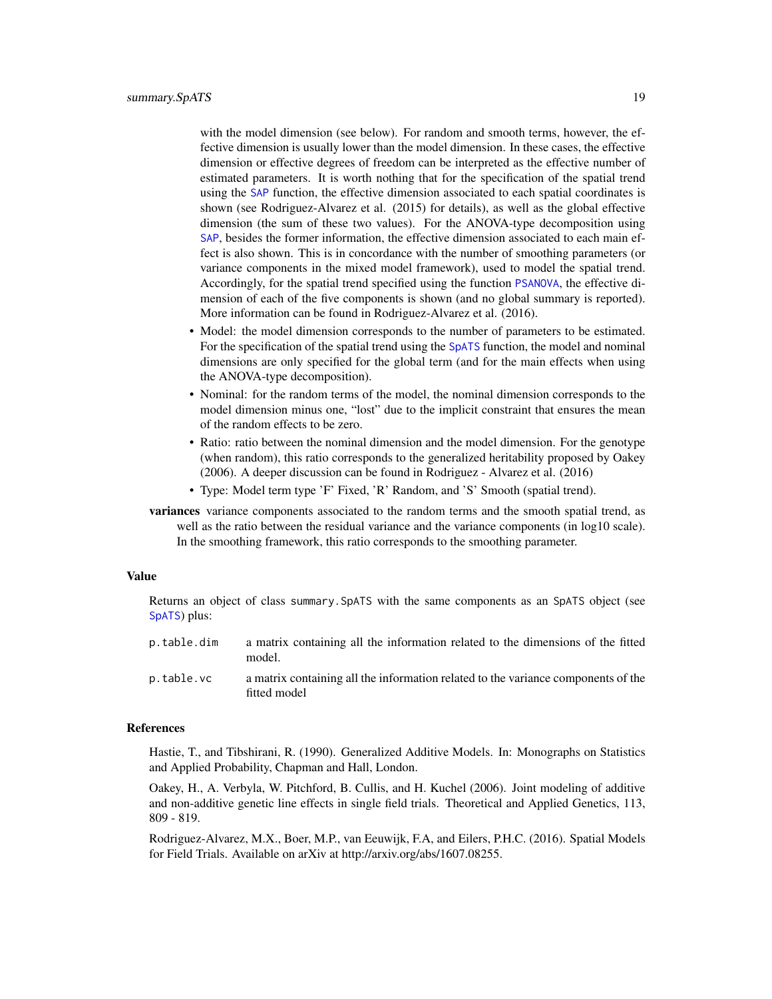<span id="page-18-0"></span>with the model dimension (see below). For random and smooth terms, however, the effective dimension is usually lower than the model dimension. In these cases, the effective dimension or effective degrees of freedom can be interpreted as the effective number of estimated parameters. It is worth nothing that for the specification of the spatial trend using the [SAP](#page-11-1) function, the effective dimension associated to each spatial coordinates is shown (see Rodriguez-Alvarez et al. (2015) for details), as well as the global effective dimension (the sum of these two values). For the ANOVA-type decomposition using [SAP](#page-11-1), besides the former information, the effective dimension associated to each main effect is also shown. This is in concordance with the number of smoothing parameters (or variance components in the mixed model framework), used to model the spatial trend. Accordingly, for the spatial trend specified using the function [PSANOVA](#page-9-1), the effective dimension of each of the five components is shown (and no global summary is reported). More information can be found in Rodriguez-Alvarez et al. (2016).

- Model: the model dimension corresponds to the number of parameters to be estimated. For the specification of the spatial trend using the [SpATS](#page-14-1) function, the model and nominal dimensions are only specified for the global term (and for the main effects when using the ANOVA-type decomposition).
- Nominal: for the random terms of the model, the nominal dimension corresponds to the model dimension minus one, "lost" due to the implicit constraint that ensures the mean of the random effects to be zero.
- Ratio: ratio between the nominal dimension and the model dimension. For the genotype (when random), this ratio corresponds to the generalized heritability proposed by Oakey (2006). A deeper discussion can be found in Rodriguez - Alvarez et al. (2016)
- Type: Model term type 'F' Fixed, 'R' Random, and 'S' Smooth (spatial trend).
- variances variance components associated to the random terms and the smooth spatial trend, as well as the ratio between the residual variance and the variance components (in log10 scale). In the smoothing framework, this ratio corresponds to the smoothing parameter.

#### Value

Returns an object of class summary.SpATS with the same components as an SpATS object (see [SpATS](#page-14-1)) plus:

p.table.dim a matrix containing all the information related to the dimensions of the fitted model. p.table.vc a matrix containing all the information related to the variance components of the fitted model

#### References

Hastie, T., and Tibshirani, R. (1990). Generalized Additive Models. In: Monographs on Statistics and Applied Probability, Chapman and Hall, London.

Oakey, H., A. Verbyla, W. Pitchford, B. Cullis, and H. Kuchel (2006). Joint modeling of additive and non-additive genetic line effects in single field trials. Theoretical and Applied Genetics, 113, 809 - 819.

Rodriguez-Alvarez, M.X., Boer, M.P., van Eeuwijk, F.A, and Eilers, P.H.C. (2016). Spatial Models for Field Trials. Available on arXiv at http://arxiv.org/abs/1607.08255.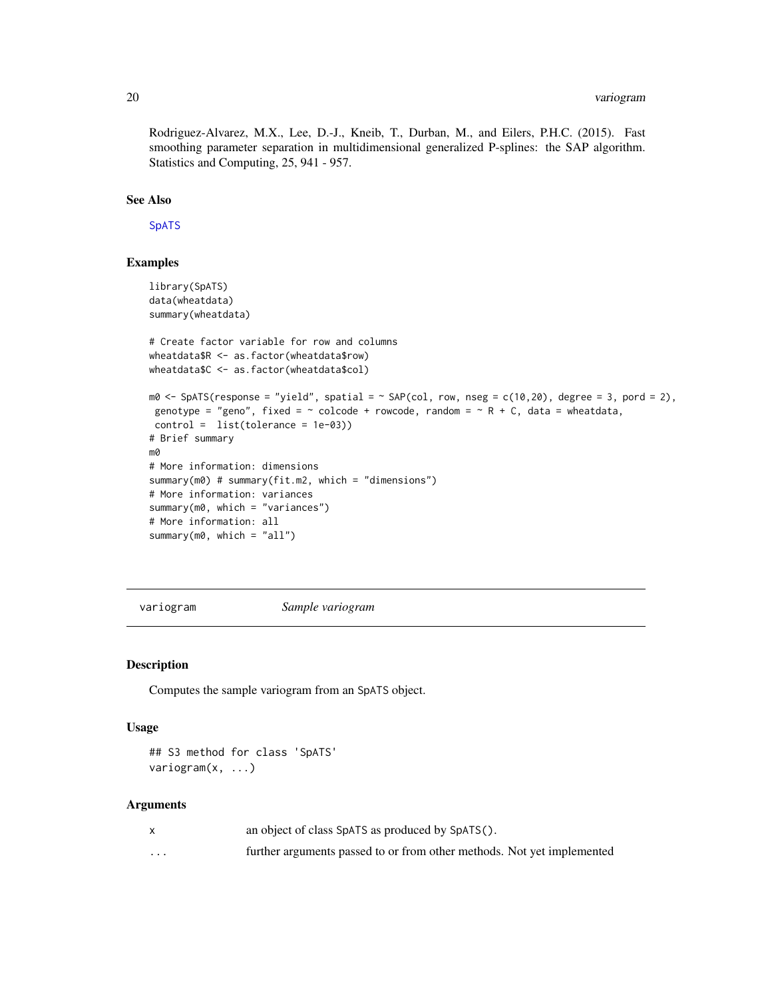<span id="page-19-0"></span>Rodriguez-Alvarez, M.X., Lee, D.-J., Kneib, T., Durban, M., and Eilers, P.H.C. (2015). Fast smoothing parameter separation in multidimensional generalized P-splines: the SAP algorithm. Statistics and Computing, 25, 941 - 957.

# See Also

**[SpATS](#page-14-1)** 

# Examples

```
library(SpATS)
data(wheatdata)
summary(wheatdata)
# Create factor variable for row and columns
wheatdata$R <- as.factor(wheatdata$row)
wheatdata$C <- as.factor(wheatdata$col)
m0 \leq SpATS(response = "yield", spatial = \sim SAP(col, row, nseg = c(10,20), degree = 3, pord = 2),
genotype = "geno", fixed = \sim colcode + rowcode, random = \sim R + C, data = wheatdata,
control = list(tolerance = 1e-03))
# Brief summary
m0
# More information: dimensions
summary(m0) # summary(fit.m2, which = "dimensions")
# More information: variances
summary(m0, which = "variances")
# More information: all
summary(m0, which = "all")
```
variogram *Sample variogram*

# <span id="page-19-1"></span>Description

Computes the sample variogram from an SpATS object.

# Usage

```
## S3 method for class 'SpATS'
variogram(x, ...)
```
#### Arguments

|          | an object of class SpATS as produced by SpATS().                       |
|----------|------------------------------------------------------------------------|
| $\cdots$ | further arguments passed to or from other methods. Not yet implemented |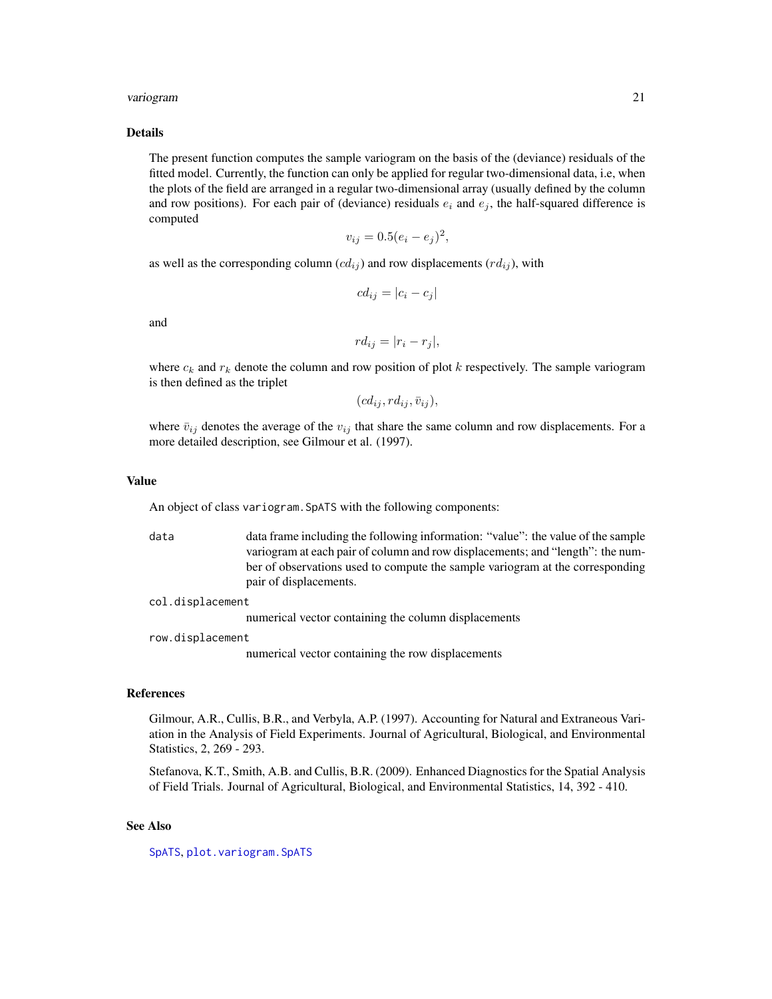#### <span id="page-20-0"></span>variogram 21

#### Details

The present function computes the sample variogram on the basis of the (deviance) residuals of the fitted model. Currently, the function can only be applied for regular two-dimensional data, i.e, when the plots of the field are arranged in a regular two-dimensional array (usually defined by the column and row positions). For each pair of (deviance) residuals  $e_i$  and  $e_j$ , the half-squared difference is computed

$$
v_{ij} = 0.5(e_i - e_j)^2,
$$

as well as the corresponding column  $(cd_{ij})$  and row displacements  $(rd_{ij})$ , with

$$
cd_{ij} = |c_i - c_j|
$$

and

 $rd_{ij} = |r_i - r_j|,$ 

where  $c_k$  and  $r_k$  denote the column and row position of plot k respectively. The sample variogram is then defined as the triplet

 $(cd_{ij}, rd_{ij}, \bar{v}_{ij}),$ 

where  $\bar{v}_{ij}$  denotes the average of the  $v_{ij}$  that share the same column and row displacements. For a more detailed description, see Gilmour et al. (1997).

#### Value

An object of class variogram.SpATS with the following components:

- data data frame including the following information: "value": the value of the sample variogram at each pair of column and row displacements; and "length": the number of observations used to compute the sample variogram at the corresponding pair of displacements.
- col.displacement

numerical vector containing the column displacements

row.displacement

numerical vector containing the row displacements

# References

Gilmour, A.R., Cullis, B.R., and Verbyla, A.P. (1997). Accounting for Natural and Extraneous Variation in the Analysis of Field Experiments. Journal of Agricultural, Biological, and Environmental Statistics, 2, 269 - 293.

Stefanova, K.T., Smith, A.B. and Cullis, B.R. (2009). Enhanced Diagnostics for the Spatial Analysis of Field Trials. Journal of Agricultural, Biological, and Environmental Statistics, 14, 392 - 410.

### See Also

[SpATS](#page-14-1), [plot.variogram.SpATS](#page-6-1)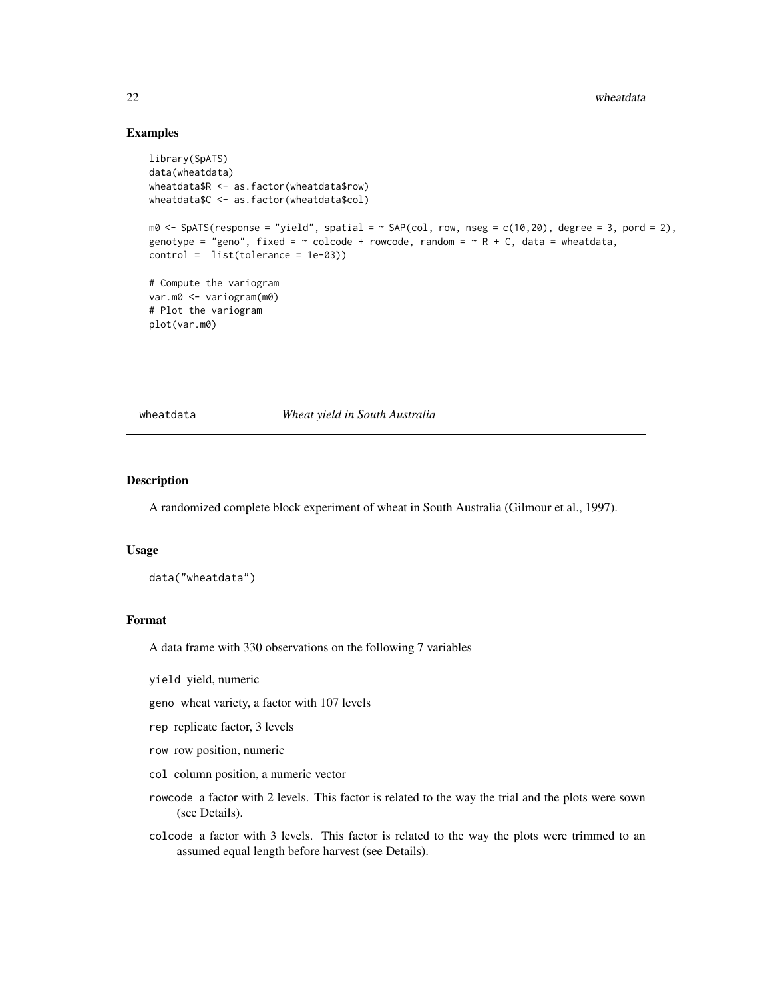### Examples

```
library(SpATS)
data(wheatdata)
wheatdata$R <- as.factor(wheatdata$row)
wheatdata$C <- as.factor(wheatdata$col)
m0 \leq - SpATS(response = "yield", spatial = \sim SAP(col, row, nseg = c(10,20), degree = 3, pord = 2),
genotype = "geno", fixed = \sim colcode + rowcode, random = \sim R + C, data = wheatdata,
control = list(tolerance = 1e-03))
# Compute the variogram
var.m0 <- variogram(m0)
# Plot the variogram
plot(var.m0)
```
wheatdata *Wheat yield in South Australia*

# Description

A randomized complete block experiment of wheat in South Australia (Gilmour et al., 1997).

#### Usage

data("wheatdata")

#### Format

A data frame with 330 observations on the following 7 variables

yield yield, numeric

- geno wheat variety, a factor with 107 levels
- rep replicate factor, 3 levels
- row row position, numeric
- col column position, a numeric vector
- rowcode a factor with 2 levels. This factor is related to the way the trial and the plots were sown (see Details).
- colcode a factor with 3 levels. This factor is related to the way the plots were trimmed to an assumed equal length before harvest (see Details).

<span id="page-21-0"></span>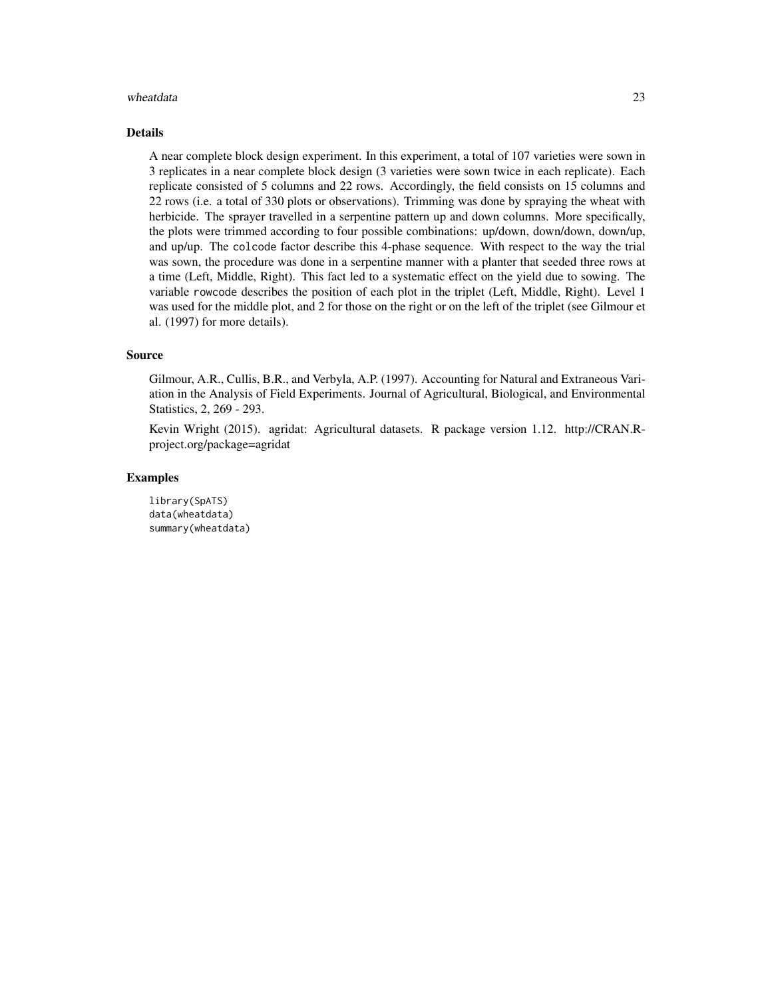#### wheatdata 23

#### Details

A near complete block design experiment. In this experiment, a total of 107 varieties were sown in 3 replicates in a near complete block design (3 varieties were sown twice in each replicate). Each replicate consisted of 5 columns and 22 rows. Accordingly, the field consists on 15 columns and 22 rows (i.e. a total of 330 plots or observations). Trimming was done by spraying the wheat with herbicide. The sprayer travelled in a serpentine pattern up and down columns. More specifically, the plots were trimmed according to four possible combinations: up/down, down/down, down/up, and up/up. The colcode factor describe this 4-phase sequence. With respect to the way the trial was sown, the procedure was done in a serpentine manner with a planter that seeded three rows at a time (Left, Middle, Right). This fact led to a systematic effect on the yield due to sowing. The variable rowcode describes the position of each plot in the triplet (Left, Middle, Right). Level 1 was used for the middle plot, and 2 for those on the right or on the left of the triplet (see Gilmour et al. (1997) for more details).

#### Source

Gilmour, A.R., Cullis, B.R., and Verbyla, A.P. (1997). Accounting for Natural and Extraneous Variation in the Analysis of Field Experiments. Journal of Agricultural, Biological, and Environmental Statistics, 2, 269 - 293.

Kevin Wright (2015). agridat: Agricultural datasets. R package version 1.12. http://CRAN.Rproject.org/package=agridat

# Examples

library(SpATS) data(wheatdata) summary(wheatdata)